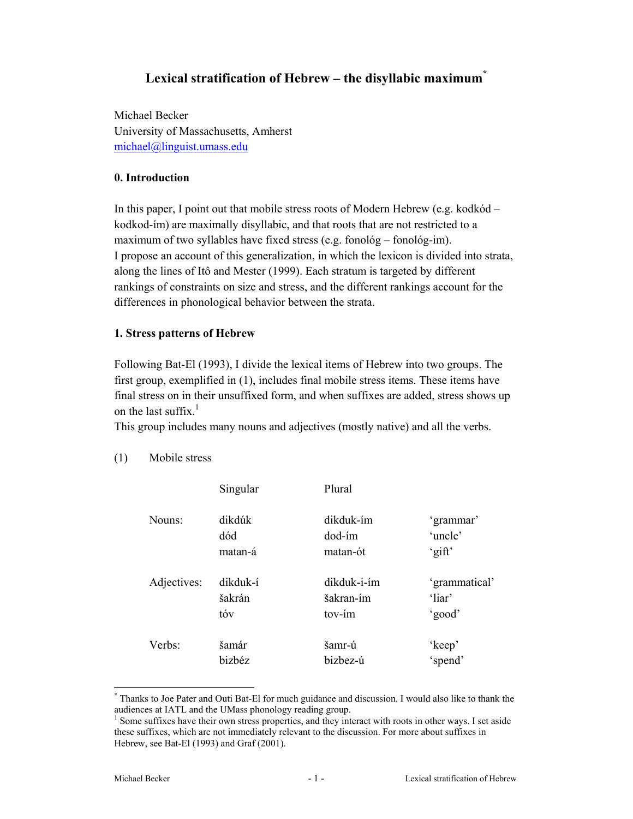# **Lexical stratification of Hebrew – the disyllabic maximum\***

Michael Becker University of Massachusetts, Amherst michael@linguist.umass.edu

### **0. Introduction**

In this paper, I point out that mobile stress roots of Modern Hebrew (e.g. kodkód – kodkod-ím) are maximally disyllabic, and that roots that are not restricted to a maximum of two syllables have fixed stress (e.g. fonológ – fonológ-im). I propose an account of this generalization, in which the lexicon is divided into strata, along the lines of Itô and Mester (1999). Each stratum is targeted by different rankings of constraints on size and stress, and the different rankings account for the differences in phonological behavior between the strata.

#### **1. Stress patterns of Hebrew**

Following Bat-El (1993), I divide the lexical items of Hebrew into two groups. The first group, exemplified in (1), includes final mobile stress items. These items have final stress on in their unsuffixed form, and when suffixes are added, stress shows up on the last suffix. $<sup>1</sup>$ </sup>

This group includes many nouns and adjectives (mostly native) and all the verbs.

|             | Singular | Plural      |               |
|-------------|----------|-------------|---------------|
| Nouns:      | dikdúk   | dikduk-ím   | 'grammar'     |
|             | dód      | dod-ím      | 'uncle'       |
|             | matan-á  | matan-ót    | 'gift'        |
| Adjectives: | dikduk-í | dikduk-i-ím | 'grammatical' |
|             | šakrán   | šakran-ím   | 'liar'        |
|             | tóv      | tov-ím      | 'good'        |
| Verbs:      | šamár    | šamr-ú      | 'keep'        |
|             | bizbéz   | bizbez-ú    | 'spend'       |

(1) Mobile stress

<sup>\*</sup> Thanks to Joe Pater and Outi Bat-El for much guidance and discussion. I would also like to thank the audiences at IATL and the UMass phonology reading group.

<sup>&</sup>lt;sup>1</sup> Some suffixes have their own stress properties, and they interact with roots in other ways. I set aside these suffixes, which are not immediately relevant to the discussion. For more about suffixes in Hebrew, see Bat-El (1993) and Graf (2001).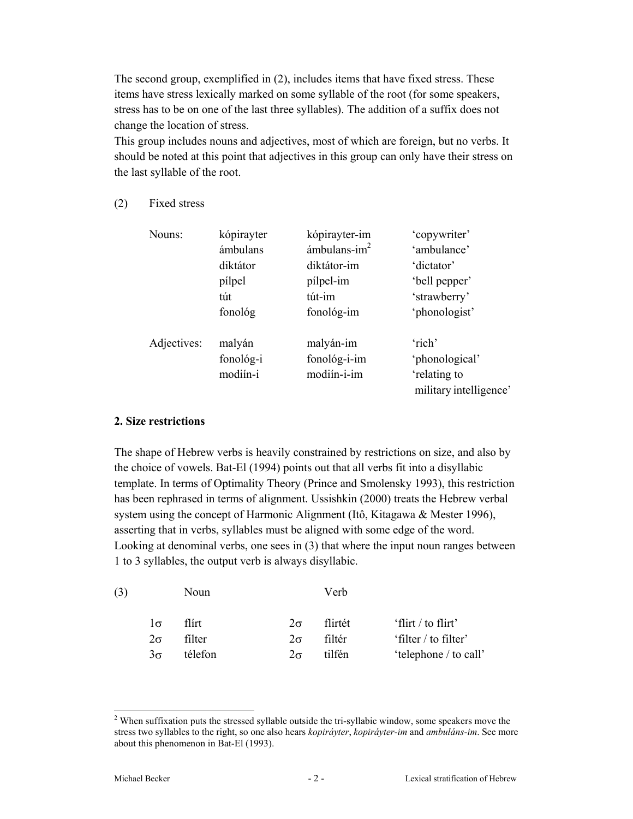The second group, exemplified in (2), includes items that have fixed stress. These items have stress lexically marked on some syllable of the root (for some speakers, stress has to be on one of the last three syllables). The addition of a suffix does not change the location of stress.

This group includes nouns and adjectives, most of which are foreign, but no verbs. It should be noted at this point that adjectives in this group can only have their stress on the last syllable of the root.

(2) Fixed stress

| Nouns:      | kópirayter<br>ámbulans<br>diktátor | kópirayter-im<br>ámbulans- $im2$<br>diktátor-im | 'copywriter'<br>'ambulance'<br>'dictator' |
|-------------|------------------------------------|-------------------------------------------------|-------------------------------------------|
|             | pílpel                             | pilpel-im                                       | 'bell pepper'                             |
|             | tút                                | tút-im                                          | 'strawberry'                              |
|             | fonológ                            | fonológ-im                                      | 'phonologist'                             |
| Adjectives: | malyán                             | malyán-im                                       | 'rich'                                    |
|             | fonológ-i                          | fonológ-i-im                                    | 'phonological'                            |
|             | modiín-i                           | modiín-i-im                                     | 'relating to                              |
|             |                                    |                                                 | military intelligence                     |

#### **2. Size restrictions**

The shape of Hebrew verbs is heavily constrained by restrictions on size, and also by the choice of vowels. Bat-El (1994) points out that all verbs fit into a disyllabic template. In terms of Optimality Theory (Prince and Smolensky 1993), this restriction has been rephrased in terms of alignment. Ussishkin (2000) treats the Hebrew verbal system using the concept of Harmonic Alignment (Itô, Kitagawa & Mester 1996), asserting that in verbs, syllables must be aligned with some edge of the word. Looking at denominal verbs, one sees in (3) that where the input noun ranges between 1 to 3 syllables, the output verb is always disyllabic.

| (3) |                     | Noun    |           | Verb    |                       |
|-----|---------------------|---------|-----------|---------|-----------------------|
|     | $1\sigma$           | flírt   | $2\sigma$ | flirtét | 'flirt / to flirt'    |
|     | $2\sigma$           | filter  | $2\sigma$ | filtér  | 'filter / to filter'  |
|     | $\frac{3\sigma}{2}$ | télefon | $2\sigma$ | tilfén  | 'telephone / to call' |

 $2$  When suffixation puts the stressed syllable outside the tri-syllabic window, some speakers move the stress two syllables to the right, so one also hears *kopiráyter*, *kopiráyter-im* and *ambuláns-im*. See more about this phenomenon in Bat-El (1993).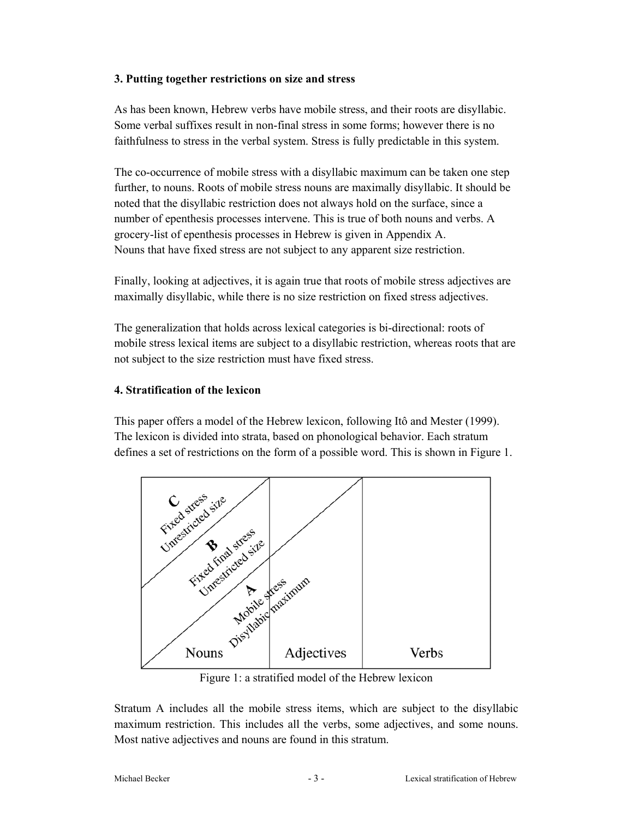#### **3. Putting together restrictions on size and stress**

As has been known, Hebrew verbs have mobile stress, and their roots are disyllabic. Some verbal suffixes result in non-final stress in some forms; however there is no faithfulness to stress in the verbal system. Stress is fully predictable in this system.

The co-occurrence of mobile stress with a disyllabic maximum can be taken one step further, to nouns. Roots of mobile stress nouns are maximally disyllabic. It should be noted that the disyllabic restriction does not always hold on the surface, since a number of epenthesis processes intervene. This is true of both nouns and verbs. A grocery-list of epenthesis processes in Hebrew is given in Appendix A. Nouns that have fixed stress are not subject to any apparent size restriction.

Finally, looking at adjectives, it is again true that roots of mobile stress adjectives are maximally disyllabic, while there is no size restriction on fixed stress adjectives.

The generalization that holds across lexical categories is bi-directional: roots of mobile stress lexical items are subject to a disyllabic restriction, whereas roots that are not subject to the size restriction must have fixed stress.

#### **4. Stratification of the lexicon**

This paper offers a model of the Hebrew lexicon, following Itô and Mester (1999). The lexicon is divided into strata, based on phonological behavior. Each stratum defines a set of restrictions on the form of a possible word. This is shown in Figure 1.



Figure 1: a stratified model of the Hebrew lexicon

Stratum A includes all the mobile stress items, which are subject to the disyllabic maximum restriction. This includes all the verbs, some adjectives, and some nouns. Most native adjectives and nouns are found in this stratum.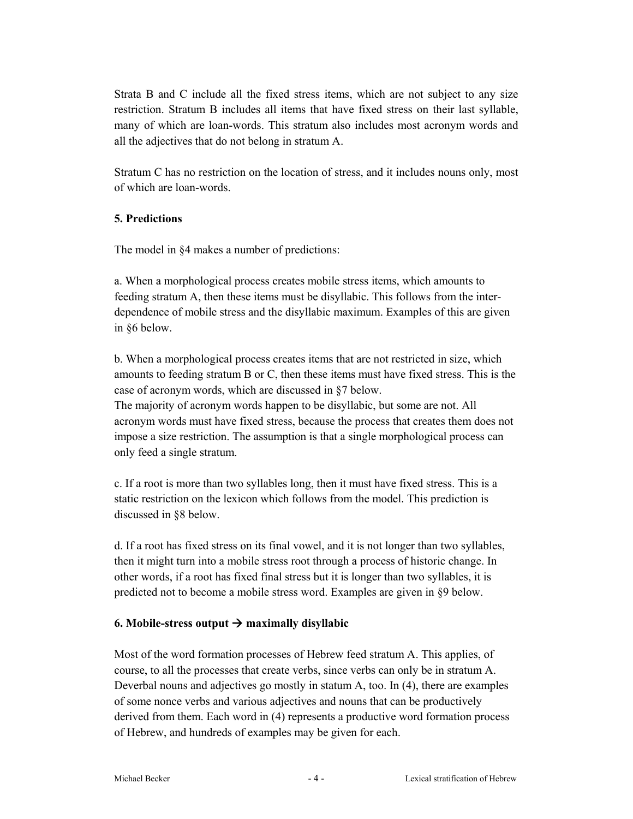Strata B and C include all the fixed stress items, which are not subject to any size restriction. Stratum B includes all items that have fixed stress on their last syllable, many of which are loan-words. This stratum also includes most acronym words and all the adjectives that do not belong in stratum A.

Stratum C has no restriction on the location of stress, and it includes nouns only, most of which are loan-words.

# **5. Predictions**

The model in §4 makes a number of predictions:

a. When a morphological process creates mobile stress items, which amounts to feeding stratum A, then these items must be disyllabic. This follows from the interdependence of mobile stress and the disyllabic maximum. Examples of this are given in §6 below.

b. When a morphological process creates items that are not restricted in size, which amounts to feeding stratum B or C, then these items must have fixed stress. This is the case of acronym words, which are discussed in §7 below.

The majority of acronym words happen to be disyllabic, but some are not. All acronym words must have fixed stress, because the process that creates them does not impose a size restriction. The assumption is that a single morphological process can only feed a single stratum.

c. If a root is more than two syllables long, then it must have fixed stress. This is a static restriction on the lexicon which follows from the model. This prediction is discussed in §8 below.

d. If a root has fixed stress on its final vowel, and it is not longer than two syllables, then it might turn into a mobile stress root through a process of historic change. In other words, if a root has fixed final stress but it is longer than two syllables, it is predicted not to become a mobile stress word. Examples are given in §9 below.

# **6. Mobile-stress output**  $\rightarrow$  **maximally disyllabic**

Most of the word formation processes of Hebrew feed stratum A. This applies, of course, to all the processes that create verbs, since verbs can only be in stratum A. Deverbal nouns and adjectives go mostly in statum A, too. In (4), there are examples of some nonce verbs and various adjectives and nouns that can be productively derived from them. Each word in (4) represents a productive word formation process of Hebrew, and hundreds of examples may be given for each.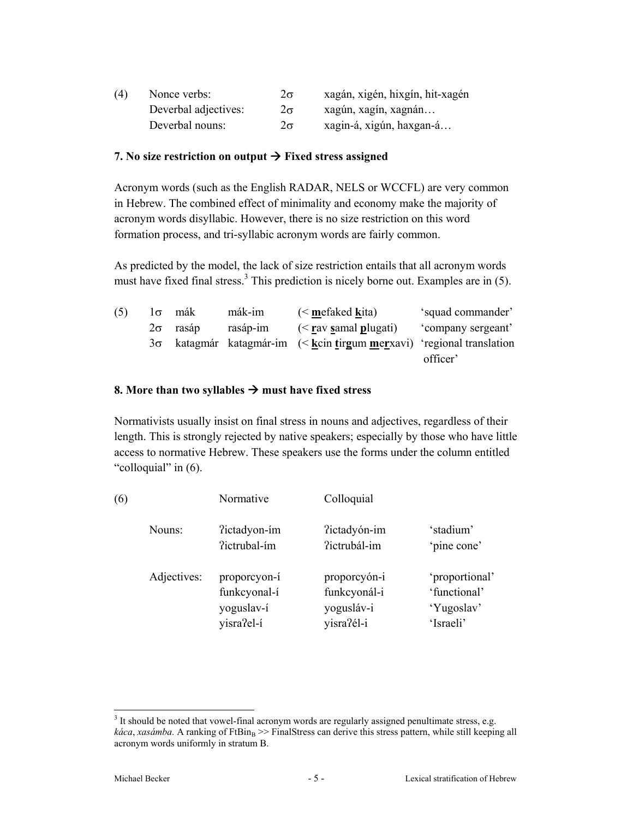| (4) | Nonce verbs:         | 2σ        | xagán, xigén, hixgín, hit-xagén |
|-----|----------------------|-----------|---------------------------------|
|     | Deverbal adjectives: | $2\sigma$ | xagún, xagín, xagnán            |
|     | Deverbal nouns:      | $2\sigma$ | xagin-á, xigún, haxgan-á        |

### **7.** No size restriction on output  $\rightarrow$  Fixed stress assigned

Acronym words (such as the English RADAR, NELS or WCCFL) are very common in Hebrew. The combined effect of minimality and economy make the majority of acronym words disyllabic. However, there is no size restriction on this word formation process, and tri-syllabic acronym words are fairly common.

As predicted by the model, the lack of size restriction entails that all acronym words must have fixed final stress.<sup>3</sup> This prediction is nicely borne out. Examples are in  $(5)$ .

| (5) |           | $1\sigma$ mák | mák-im   | $\leq$ mefaked kita)                                                          | 'squad commander'  |
|-----|-----------|---------------|----------|-------------------------------------------------------------------------------|--------------------|
|     | $2\sigma$ | rasáp         | rasáp-im | $\frac{1}{2}$ (< rav samal plugati)                                           | 'company sergeant' |
|     |           |               |          | $3\sigma$ katagmár katagmár-im (< k cin tirgum merxavi) 'regional translation |                    |
|     |           |               |          |                                                                               | officer'           |

# **8.** More than two syllables  $\rightarrow$  must have fixed stress

Normativists usually insist on final stress in nouns and adjectives, regardless of their length. This is strongly rejected by native speakers; especially by those who have little access to normative Hebrew. These speakers use the forms under the column entitled "colloquial" in (6).

| (6) |             | Normative                                                | Colloquial                                               |                                                           |
|-----|-------------|----------------------------------------------------------|----------------------------------------------------------|-----------------------------------------------------------|
|     | Nouns:      | ?ictadyon-ím<br>?ictrubal-ím                             | ?ictadyón-im<br>?ictrubál-im                             | 'stadium'<br>'pine cone'                                  |
|     | Adjectives: | proporcyon-í<br>funkcyonal-í<br>yoguslav-í<br>yisra?el-í | proporcyón-i<br>funkcyonál-i<br>yogusláv-i<br>yisra?él-i | 'proportional'<br>'functional'<br>'Yugoslav'<br>'Israeli' |

 $3$  It should be noted that vowel-final acronym words are regularly assigned penultimate stress, e.g. *káca*, *xasámba*. A ranking of FtBin<sub>B</sub> >> FinalStress can derive this stress pattern, while still keeping all acronym words uniformly in stratum B.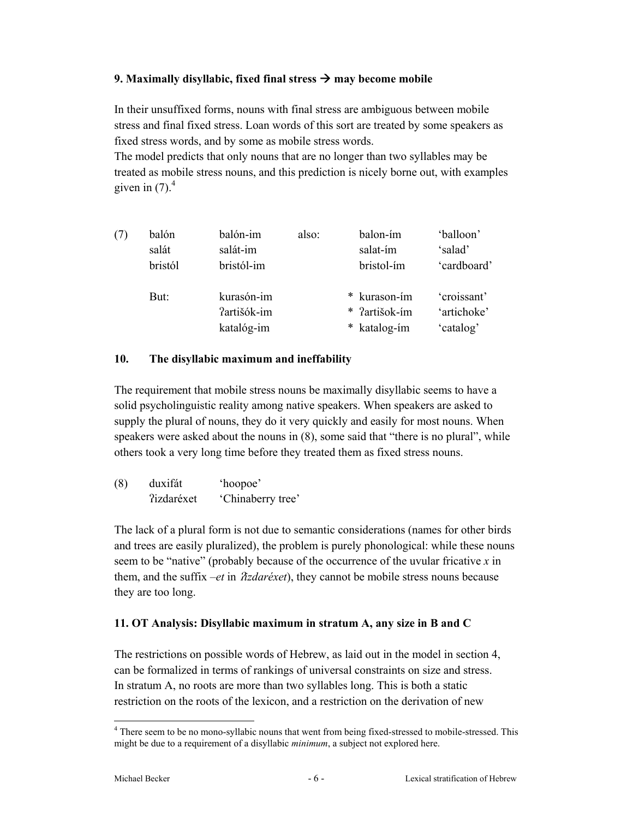# **9. Maximally disyllabic, fixed final stress**  $\rightarrow$  **may become mobile**

In their unsuffixed forms, nouns with final stress are ambiguous between mobile stress and final fixed stress. Loan words of this sort are treated by some speakers as fixed stress words, and by some as mobile stress words.

The model predicts that only nouns that are no longer than two syllables may be treated as mobile stress nouns, and this prediction is nicely borne out, with examples given in  $(7)$ .<sup>4</sup>

| (7) | balón   | balón-im    | also: | balon-ím      | 'balloon'   |
|-----|---------|-------------|-------|---------------|-------------|
|     | salát   | salát-im    |       | salat-ím      | 'salad'     |
|     | bristól | bristól-im  |       | bristol-ím    | 'cardboard' |
|     |         |             |       |               |             |
|     | But:    | kurasón-im  |       | * kurason-ím  | 'croissant' |
|     |         | ?artišók-im |       | * ?artišok-ím | 'artichoke' |
|     |         | katalóg-im  |       | * katalog-ím  | 'catalog'   |
|     |         |             |       |               |             |

# **10. The disyllabic maximum and ineffability**

The requirement that mobile stress nouns be maximally disyllabic seems to have a solid psycholinguistic reality among native speakers. When speakers are asked to supply the plural of nouns, they do it very quickly and easily for most nouns. When speakers were asked about the nouns in (8), some said that "there is no plural", while others took a very long time before they treated them as fixed stress nouns.

| (8) | duxifát                  | 'hoopoe'          |
|-----|--------------------------|-------------------|
|     | <i><u>lizdaréxet</u></i> | 'Chinaberry tree' |

The lack of a plural form is not due to semantic considerations (names for other birds and trees are easily pluralized), the problem is purely phonological: while these nouns seem to be "native" (probably because of the occurrence of the uvular fricative *x* in them, and the suffix  $-et$  in  $\hat{\chi}$ *zdaréxet*), they cannot be mobile stress nouns because they are too long.

# **11. OT Analysis: Disyllabic maximum in stratum A, any size in B and C**

The restrictions on possible words of Hebrew, as laid out in the model in section 4, can be formalized in terms of rankings of universal constraints on size and stress. In stratum A, no roots are more than two syllables long. This is both a static restriction on the roots of the lexicon, and a restriction on the derivation of new

<sup>&</sup>lt;sup>4</sup> There seem to be no mono-syllabic nouns that went from being fixed-stressed to mobile-stressed. This might be due to a requirement of a disyllabic *minimum*, a subject not explored here.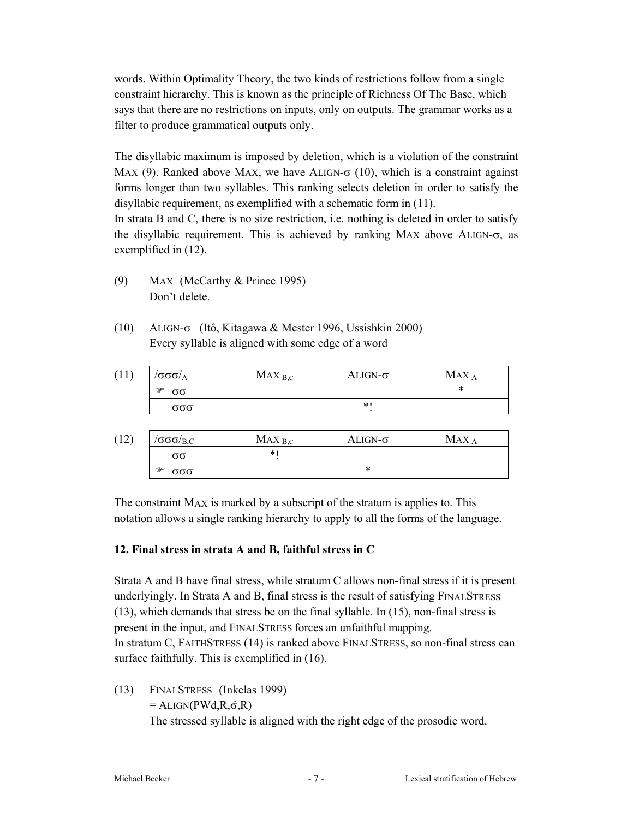words. Within Optimality Theory, the two kinds of restrictions follow from a single constraint hierarchy. This is known as the principle of Richness Of The Base, which says that there are no restrictions on inputs, only on outputs. The grammar works as a filter to produce grammatical outputs only.

The disyllabic maximum is imposed by deletion, which is a violation of the constraint MAX (9). Ranked above MAX, we have ALIGN- $\sigma$  (10), which is a constraint against forms longer than two syllables. This ranking selects deletion in order to satisfy the disyllabic requirement, as exemplified with a schematic form in (11).

In strata B and C, there is no size restriction, i.e. nothing is deleted in order to satisfy the disyllabic requirement. This is achieved by ranking MAX above ALIGN-σ, as exemplified in (12).

- (9) MAX (McCarthy & Prince 1995) Don't delete.
- (10) ALIGN-σ (Itô, Kitagawa & Mester 1996, Ussishkin 2000) Every syllable is aligned with some edge of a word

| *<br>☞<br>σσ | ALIGN- $\sigma$ | $MAX_{B,C}$ | $\sigma$ σσ $\sigma$ / $\rm_A$ |
|--------------|-----------------|-------------|--------------------------------|
|              |                 |             |                                |
| σσσ          | $\ast$          |             |                                |

| 12, | $\sigma$ σσ $\sigma$ / $_{\rm B,C}$ | $MAX_{B,C}$ | $\rm ALIGN$ - $\sigma$ | MAX |
|-----|-------------------------------------|-------------|------------------------|-----|
|     | σσ                                  | *           |                        |     |
|     | ☞<br>$\alpha\alpha$                 |             | ∗                      |     |

The constraint MAX is marked by a subscript of the stratum is applies to. This notation allows a single ranking hierarchy to apply to all the forms of the language.

# **12. Final stress in strata A and B, faithful stress in C**

Strata A and B have final stress, while stratum C allows non-final stress if it is present underlyingly. In Strata A and B, final stress is the result of satisfying FINALSTRESS (13), which demands that stress be on the final syllable. In (15), non-final stress is present in the input, and FINALSTRESS forces an unfaithful mapping. In stratum C, FAITHSTRESS (14) is ranked above FINALSTRESS, so non-final stress can surface faithfully. This is exemplified in (16).

(13) FINALSTRESS (Inkelas 1999)  $=$  ALIGN(PWd,R, $\acute{\sigma}$ ,R) The stressed syllable is aligned with the right edge of the prosodic word.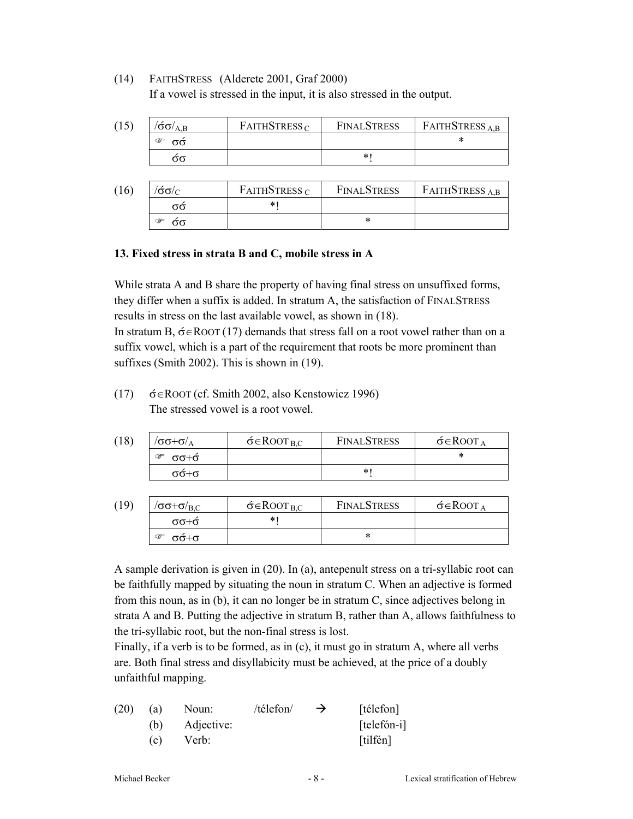(14) FAITHSTRESS (Alderete 2001, Graf 2000) If a vowel is stressed in the input, it is also stressed in the output.

| (15) | $\langle \acute{\sigma} \sigma \rangle_{\rm A\,B}$ | FATHSTRESS <sub>C</sub> | <b>FINALSTRESS</b> | FAITHSTRESS <sub>A.B</sub> |
|------|----------------------------------------------------|-------------------------|--------------------|----------------------------|
|      | ☞<br>σσ                                            |                         |                    |                            |
|      | σσ                                                 |                         | $\ast$             |                            |

| (16) | $\sigma/\sigma'$ | FAITHSTRESS $C$ | <b>FINALSTRESS</b> | FAITHSTRESS <sub>AB</sub> |
|------|------------------|-----------------|--------------------|---------------------------|
|      | $\alpha$         | ∗               |                    |                           |
|      | ☞<br>$\sigma$    |                 |                    |                           |

#### **13. Fixed stress in strata B and C, mobile stress in A**

While strata A and B share the property of having final stress on unsuffixed forms, they differ when a suffix is added. In stratum A, the satisfaction of FINALSTRESS results in stress on the last available vowel, as shown in (18).

In stratum B,  $\acute{\sigma} \in$ ROOT (17) demands that stress fall on a root vowel rather than on a suffix vowel, which is a part of the requirement that roots be more prominent than suffixes (Smith 2002). This is shown in (19).

(17)  $\acute{\sigma} \in \text{ROOT}$  (cf. Smith 2002, also Kenstowicz 1996) The stressed vowel is a root vowel.

| (18) | $\sigma$ σ $+\sigma$ / $\rm_A$ | $\acute{\sigma} \in$ ROOT <sub>B.C</sub> | <b>FINALSTRESS</b> | $\acute{\sigma} \in$ ROOT A |
|------|--------------------------------|------------------------------------------|--------------------|-----------------------------|
|      | $\sigma + \sigma$<br>☞         |                                          |                    | *                           |
|      | $σ+σ$                          |                                          | *∣                 |                             |

| (19) | $\sigma/\sigma + \sigma/_{\rm B.C}$ | $\acute{\sigma} \in$ ROOT <sub>B.C</sub> | <b>FINALSTRESS</b> | $\acute{\sigma} \in$ ROOT <sub>A</sub> |
|------|-------------------------------------|------------------------------------------|--------------------|----------------------------------------|
|      | $σ+σ-$                              | $\ast$                                   |                    |                                        |
|      | $σ+σ$<br>G                          |                                          | ж                  |                                        |

A sample derivation is given in (20). In (a), antepenult stress on a tri-syllabic root can be faithfully mapped by situating the noun in stratum C. When an adjective is formed from this noun, as in (b), it can no longer be in stratum C, since adjectives belong in strata A and B. Putting the adjective in stratum B, rather than A, allows faithfulness to the tri-syllabic root, but the non-final stress is lost.

Finally, if a verb is to be formed, as in (c), it must go in stratum A, where all verbs are. Both final stress and disyllabicity must be achieved, at the price of a doubly unfaithful mapping.

| (20) | (a) | Noun:      | /télefon/ | $\rightarrow$ | [télefon]   |
|------|-----|------------|-----------|---------------|-------------|
|      | (b) | Adjective: |           |               | [telefón-i] |
|      | (c) | Verb:      |           |               | [tilfén]    |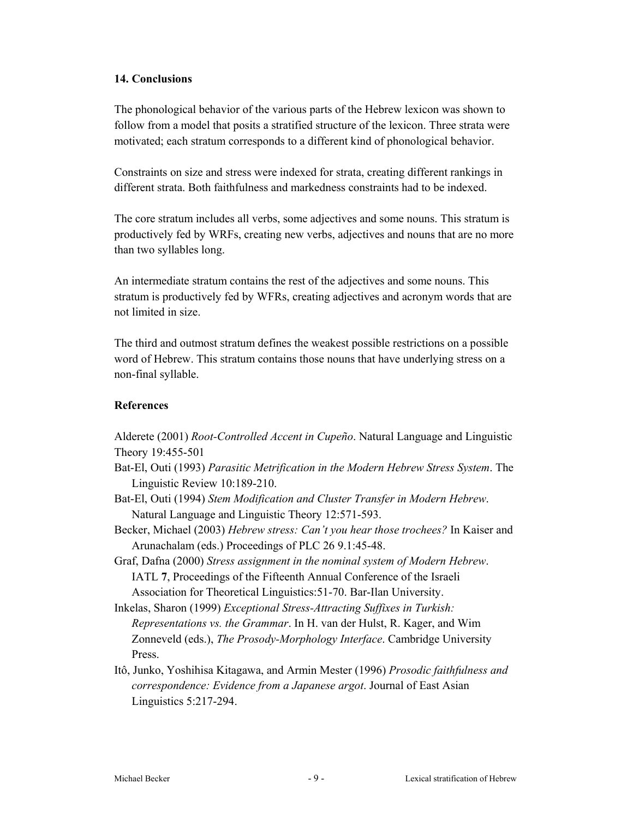#### **14. Conclusions**

The phonological behavior of the various parts of the Hebrew lexicon was shown to follow from a model that posits a stratified structure of the lexicon. Three strata were motivated; each stratum corresponds to a different kind of phonological behavior.

Constraints on size and stress were indexed for strata, creating different rankings in different strata. Both faithfulness and markedness constraints had to be indexed.

The core stratum includes all verbs, some adjectives and some nouns. This stratum is productively fed by WRFs, creating new verbs, adjectives and nouns that are no more than two syllables long.

An intermediate stratum contains the rest of the adjectives and some nouns. This stratum is productively fed by WFRs, creating adjectives and acronym words that are not limited in size.

The third and outmost stratum defines the weakest possible restrictions on a possible word of Hebrew. This stratum contains those nouns that have underlying stress on a non-final syllable.

#### **References**

Alderete (2001) *Root-Controlled Accent in Cupeño*. Natural Language and Linguistic Theory 19:455-501

- Bat-El, Outi (1993) *Parasitic Metrification in the Modern Hebrew Stress System*. The Linguistic Review 10:189-210.
- Bat-El, Outi (1994) *Stem Modification and Cluster Transfer in Modern Hebrew*. Natural Language and Linguistic Theory 12:571-593.
- Becker, Michael (2003) *Hebrew stress: Can't you hear those trochees?* In Kaiser and Arunachalam (eds.) Proceedings of PLC 26 9.1:45-48.
- Graf, Dafna (2000) *Stress assignment in the nominal system of Modern Hebrew*. IATL **7**, Proceedings of the Fifteenth Annual Conference of the Israeli Association for Theoretical Linguistics:51-70. Bar-Ilan University.
- Inkelas, Sharon (1999) *Exceptional Stress-Attracting Suffixes in Turkish: Representations vs. the Grammar*. In H. van der Hulst, R. Kager, and Wim Zonneveld (eds.), *The Prosody-Morphology Interface*. Cambridge University Press.
- Itô, Junko, Yoshihisa Kitagawa, and Armin Mester (1996) *Prosodic faithfulness and correspondence: Evidence from a Japanese argot*. Journal of East Asian Linguistics 5:217-294.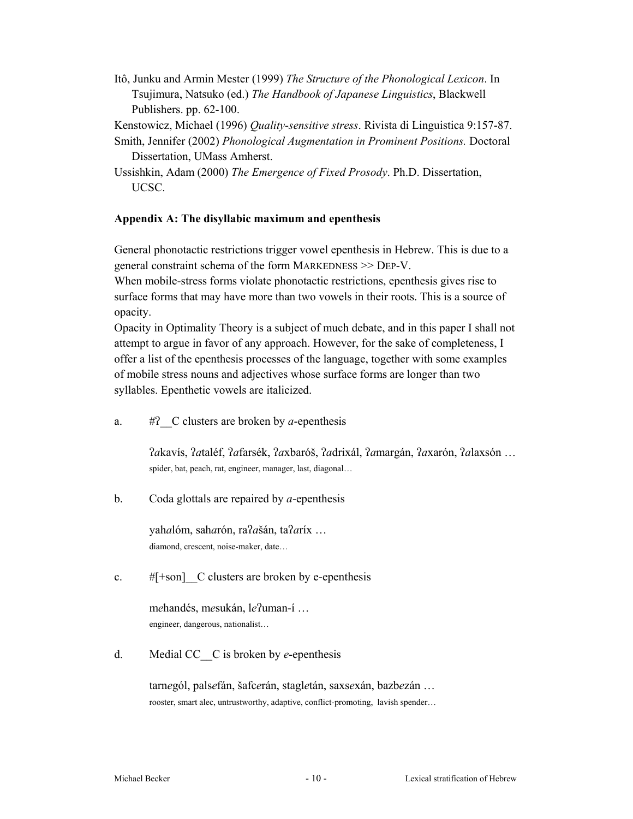Itô, Junku and Armin Mester (1999) *The Structure of the Phonological Lexicon*. In Tsujimura, Natsuko (ed.) *The Handbook of Japanese Linguistics*, Blackwell Publishers. pp. 62-100.

Kenstowicz, Michael (1996) *Quality-sensitive stress*. Rivista di Linguistica 9:157-87. Smith, Jennifer (2002) *Phonological Augmentation in Prominent Positions.* Doctoral

Dissertation, UMass Amherst.

Ussishkin, Adam (2000) *The Emergence of Fixed Prosody*. Ph.D. Dissertation, UCSC.

# **Appendix A: The disyllabic maximum and epenthesis**

General phonotactic restrictions trigger vowel epenthesis in Hebrew. This is due to a general constraint schema of the form MARKEDNESS >> DEP-V.

When mobile-stress forms violate phonotactic restrictions, epenthesis gives rise to surface forms that may have more than two vowels in their roots. This is a source of opacity.

Opacity in Optimality Theory is a subject of much debate, and in this paper I shall not attempt to argue in favor of any approach. However, for the sake of completeness, I offer a list of the epenthesis processes of the language, together with some examples of mobile stress nouns and adjectives whose surface forms are longer than two syllables. Epenthetic vowels are italicized.

a.  $\#$ ? C clusters are broken by *a*-epenthesis

*a*kavís, *a*taléf, *a*farsék, *a*xbaróš, *a*drixál, *a*margán, *a*xarón, *a*laxsón … spider, bat, peach, rat, engineer, manager, last, diagonal…

b. Coda glottals are repaired by *a*-epenthesis

 yah*a*lóm, sah*a*rón, ra*a*šán, ta*a*ríx … diamond, crescent, noise-maker, date…

c.  $#[+son]$  C clusters are broken by e-epenthesis

mehandés, mesukán, le?uman-í ... engineer, dangerous, nationalist…

d. Medial CC\_\_C is broken by *e*-epenthesis

tarn*e*gól, pals*e*fán, šafc*e*rán, stagl*e*tán, saxs*e*xán, bazb*e*zán … rooster, smart alec, untrustworthy, adaptive, conflict-promoting, lavish spender…